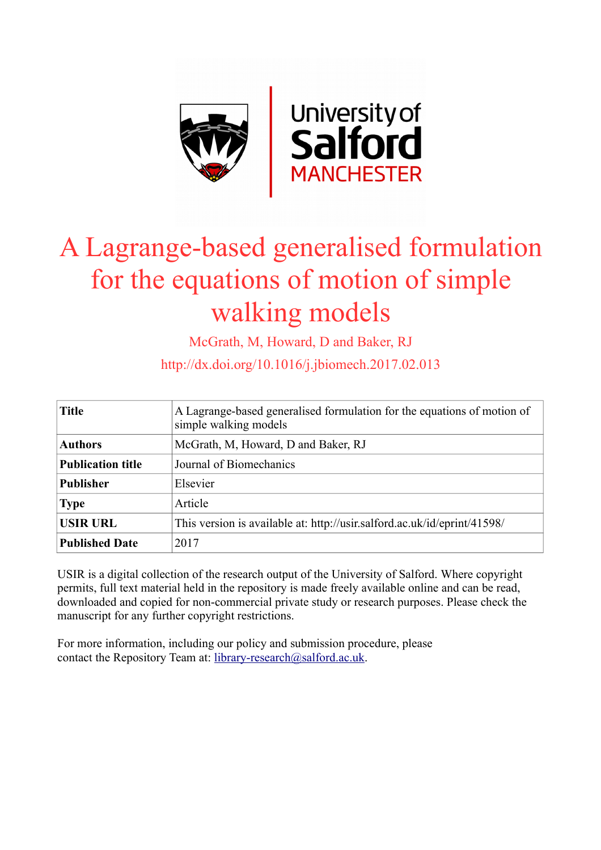

# A Lagrange-based generalised formulation for the equations of motion of simple walking models

McGrath, M, Howard, D and Baker, RJ

http://dx.doi.org/10.1016/j.jbiomech.2017.02.013

| <b>Title</b>             | A Lagrange-based generalised formulation for the equations of motion of<br>simple walking models |
|--------------------------|--------------------------------------------------------------------------------------------------|
| <b>Authors</b>           | McGrath, M, Howard, D and Baker, RJ                                                              |
| <b>Publication title</b> | Journal of Biomechanics                                                                          |
| <b>Publisher</b>         | Elsevier                                                                                         |
| <b>Type</b>              | Article                                                                                          |
| <b>USIR URL</b>          | This version is available at: http://usir.salford.ac.uk/id/eprint/41598/                         |
| <b>Published Date</b>    | 2017                                                                                             |

USIR is a digital collection of the research output of the University of Salford. Where copyright permits, full text material held in the repository is made freely available online and can be read, downloaded and copied for non-commercial private study or research purposes. Please check the manuscript for any further copyright restrictions.

For more information, including our policy and submission procedure, please contact the Repository Team at: [library-research@salford.ac.uk.](mailto:library-research@salford.ac.uk)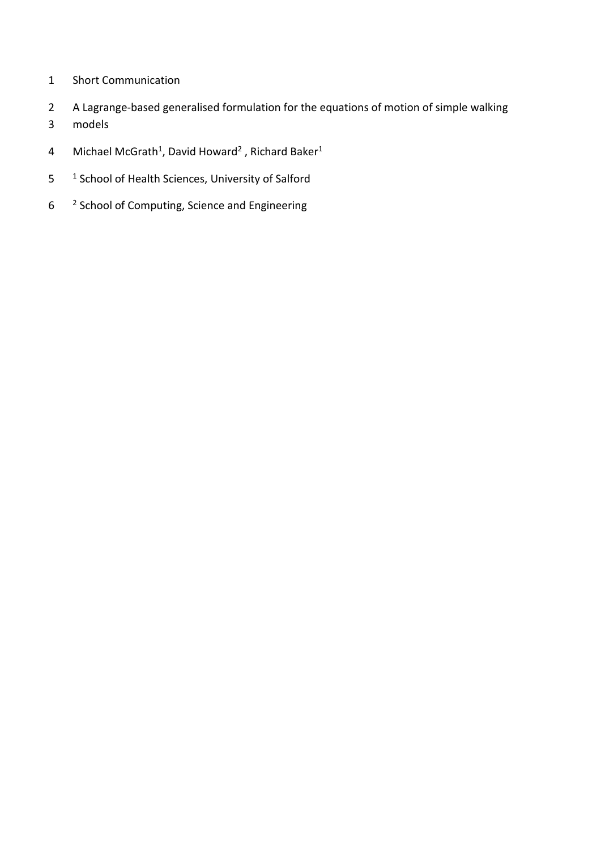- 1 Short Communication
- 2 A Lagrange-based generalised formulation for the equations of motion of simple walking
- 3 models
- 4 Michael McGrath<sup>1</sup>, David Howard<sup>2</sup>, Richard Baker<sup>1</sup>
- 5 <sup>1</sup> School of Health Sciences, University of Salford
- 6 <sup>2</sup> School of Computing, Science and Engineering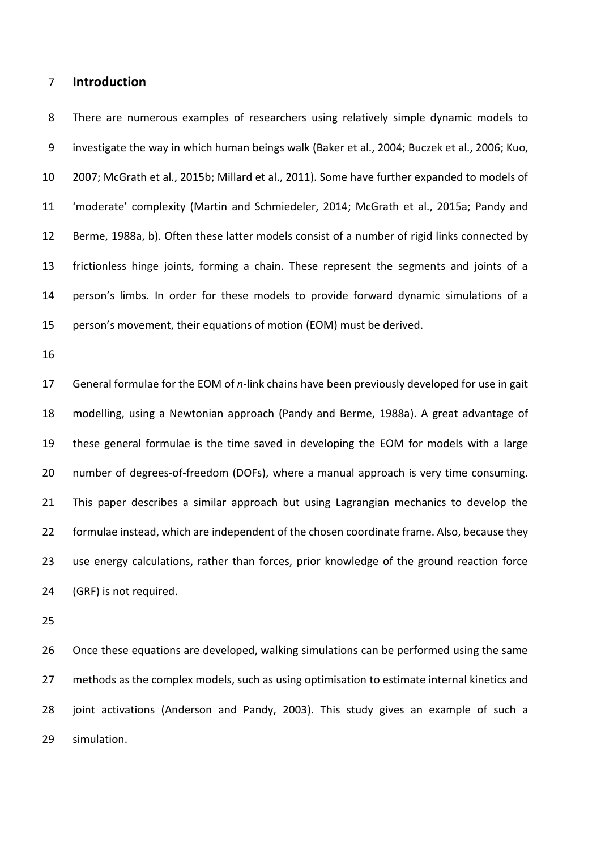### **Introduction**

 There are numerous examples of researchers using relatively simple dynamic models to investigate the way in which human beings walk [\(Baker et al., 2004;](#page-16-0) [Buczek et al., 2006;](#page-16-1) [Kuo,](#page-16-2)  [2007;](#page-16-2) [McGrath et al., 2015b;](#page-16-3) [Millard et al., 2011\)](#page-16-4). Some have further expanded to models of 'moderate' complexity [\(Martin and Schmiedeler, 2014;](#page-16-5) [McGrath et al., 2015a;](#page-16-6) [Pandy and](#page-16-7)  [Berme, 1988a,](#page-16-7) [b\)](#page-16-8). Often these latter models consist of a number of rigid links connected by frictionless hinge joints, forming a chain. These represent the segments and joints of a person's limbs. In order for these models to provide forward dynamic simulations of a person's movement, their equations of motion (EOM) must be derived.

 General formulae for the EOM of *n*-link chains have been previously developed for use in gait modelling, using a Newtonian approach [\(Pandy and Berme, 1988a\)](#page-16-7). A great advantage of these general formulae is the time saved in developing the EOM for models with a large number of degrees-of-freedom (DOFs), where a manual approach is very time consuming. This paper describes a similar approach but using Lagrangian mechanics to develop the formulae instead, which are independent of the chosen coordinate frame. Also, because they use energy calculations, rather than forces, prior knowledge of the ground reaction force (GRF) is not required.

 Once these equations are developed, walking simulations can be performed using the same 27 methods as the complex models, such as using optimisation to estimate internal kinetics and joint activations [\(Anderson and Pandy, 2003\)](#page-16-9). This study gives an example of such a simulation.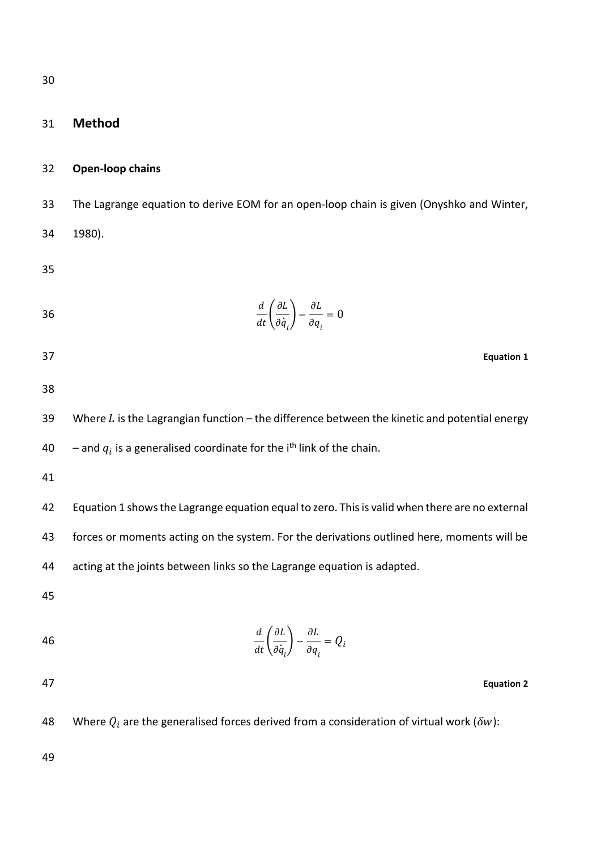# 31 **Method**

#### 32 **Open-loop chains**

33 The Lagrange equation to derive EOM for an open-loop chain is given [\(Onyshko and Winter,](#page-16-10)  34 [1980\)](#page-16-10).

35

$$
\frac{d}{dt}\left(\frac{\partial L}{\partial \dot{q}_i}\right) - \frac{\partial L}{\partial q_i} = 0
$$

- <span id="page-3-0"></span>37 **Equation 1**
- 38

39 Where  $L$  is the Lagrangian function – the difference between the kinetic and potential energy 40  $-$  and  $q_i$  is a generalised coordinate for the i<sup>th</sup> link of the chain.

41

42 [Equation 1](#page-3-0) shows the Lagrange equation equal to zero. This is valid when there are no external 43 forces or moments acting on the system. For the derivations outlined here, moments will be 44 acting at the joints between links so the Lagrange equation is adapted.

45

$$
\frac{d}{dt}\left(\frac{\partial L}{\partial \dot{q}_i}\right) - \frac{\partial L}{\partial q_i} = Q_i
$$

47 **Equation 2**

48 Where  $Q_i$  are the generalised forces derived from a consideration of virtual work ( $\delta w$ ):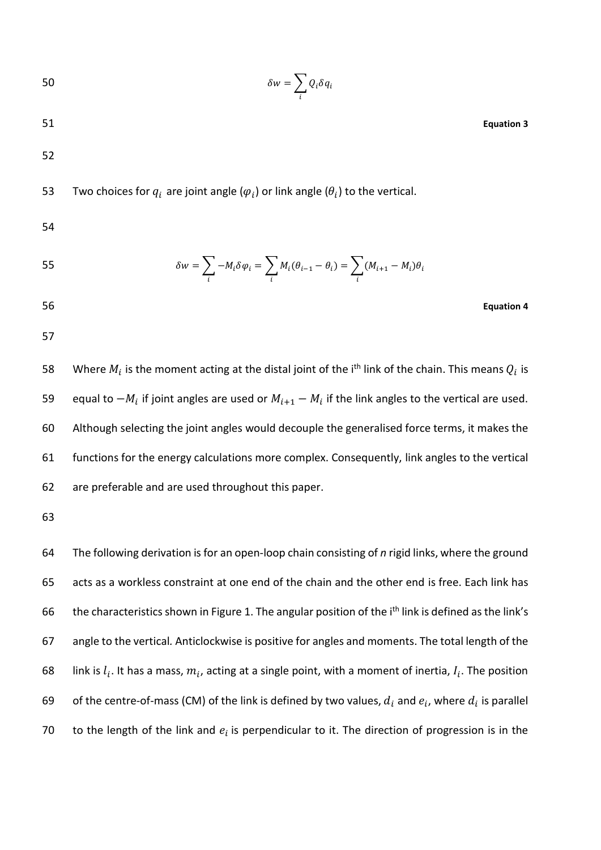$$
\delta w = \sum_i Q_i \delta q_i
$$

51 **Equation 3**

52

53 Two choices for  $q_i$  are joint angle ( $\varphi_i$ ) or link angle ( $\theta_i$ ) to the vertical.

54

55 
$$
\delta w = \sum_{i} -M_i \delta \varphi_i = \sum_{i} M_i (\theta_{i-1} - \theta_i) = \sum_{i} (M_{i+1} - M_i) \theta_i
$$

- 56 **Equation 4**
- 57

58 Mhere  $M_i$  is the moment acting at the distal joint of the i<sup>th</sup> link of the chain. This means  $Q_i$  is 59 equal to  $-M_i$  if joint angles are used or  $M_{i+1} - M_i$  if the link angles to the vertical are used. 60 Although selecting the joint angles would decouple the generalised force terms, it makes the 61 functions for the energy calculations more complex. Consequently, link angles to the vertical 62 are preferable and are used throughout this paper.

63

64 The following derivation is for an open-loop chain consisting of *n* rigid links, where the ground 65 acts as a workless constraint at one end of the chain and the other end is free. Each link has 66 the characteristics shown in Figure 1. The angular position of the i<sup>th</sup> link is defined as the link's 67 angle to the vertical*.* Anticlockwise is positive for angles and moments. The total length of the 68 link is  $l_i$ . It has a mass,  $m_i$ , acting at a single point, with a moment of inertia,  $l_i$ . The position 69 of the centre-of-mass (CM) of the link is defined by two values,  $d_i$  and  $e_i$ , where  $d_i$  is parallel 70 to the length of the link and  $e_i$  is perpendicular to it. The direction of progression is in the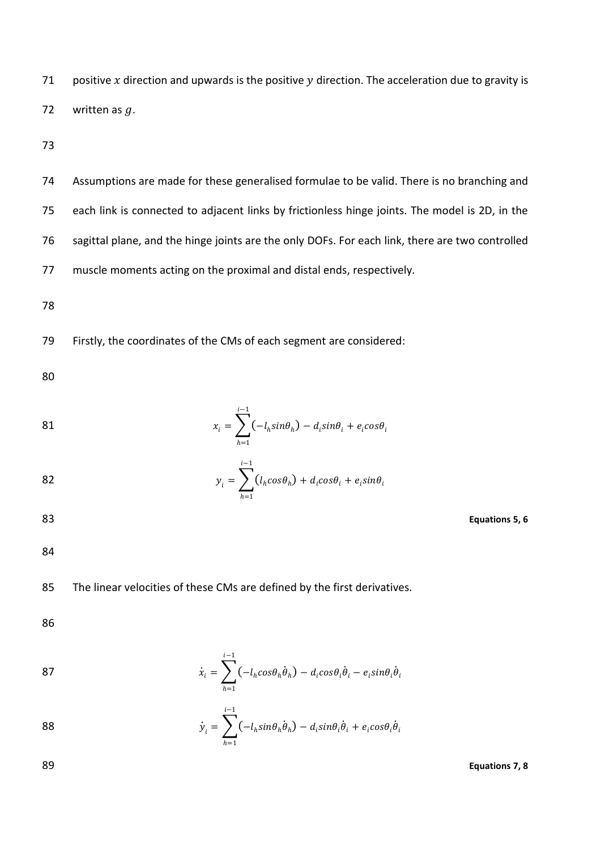71 positive x direction and upwards is the positive  $y$  direction. The acceleration due to gravity is 72 written as  $q$ .

73

 Assumptions are made for these generalised formulae to be valid. There is no branching and each link is connected to adjacent links by frictionless hinge joints. The model is 2D, in the sagittal plane, and the hinge joints are the only DOFs. For each link, there are two controlled muscle moments acting on the proximal and distal ends, respectively.

78

79 Firstly, the coordinates of the CMs of each segment are considered:

80

81 
$$
x_i = \sum_{h=1}^{i-1} (-l_h sin\theta_h) - d_i sin\theta_i + e_i cos\theta_i
$$

82 
$$
y_i = \sum_{h=1}^{i-1} (l_h cos \theta_h) + d_i cos \theta_i + e_i sin \theta_i
$$

83 **Equations 5, 6**

84

85 The linear velocities of these CMs are defined by the first derivatives.

86

87 
$$
\dot{x}_i = \sum_{h=1}^{i-1} \left( -l_h \cos \theta_h \dot{\theta}_h \right) - d_i \cos \theta_i \dot{\theta}_i - e_i \sin \theta_i \dot{\theta}_i
$$

88 
$$
\dot{y}_i = \sum_{h=1}^{i-1} (-l_h sin\theta_h \dot{\theta}_h) - d_i sin\theta_i \dot{\theta}_i + e_i cos\theta_i \dot{\theta}_i
$$

89 **Equations 7, 8**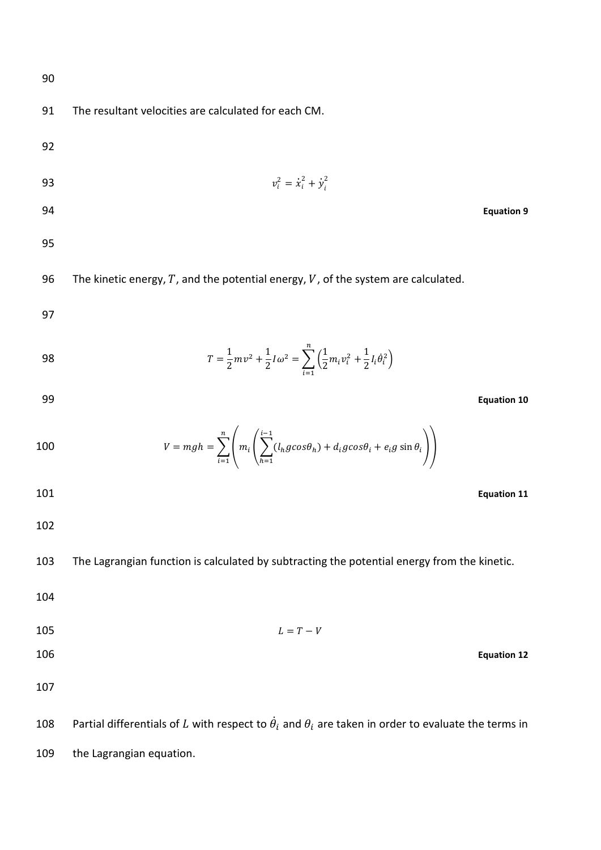| 90  |                                                                                                                                              |
|-----|----------------------------------------------------------------------------------------------------------------------------------------------|
| 91  | The resultant velocities are calculated for each CM.                                                                                         |
| 92  |                                                                                                                                              |
| 93  | $v_i^2 = \dot{x}_i^2 + \dot{y}_i^2$                                                                                                          |
| 94  | <b>Equation 9</b>                                                                                                                            |
| 95  |                                                                                                                                              |
| 96  | The kinetic energy, $T$ , and the potential energy, $V$ , of the system are calculated.                                                      |
| 97  |                                                                                                                                              |
| 98  | $T = \frac{1}{2}mv^2 + \frac{1}{2}I\omega^2 = \sum_{i=1}^{n} \left(\frac{1}{2}m_i v_i^2 + \frac{1}{2}I_i\dot{\theta}_i^2\right)$             |
| 99  | <b>Equation 10</b>                                                                                                                           |
| 100 | $V = mgh = \sum_{i=1}^{n} \left( m_i \left( \sum_{h=1}^{i-1} (l_h g cos \theta_h) + d_i g cos \theta_i + e_i g sin \theta_i \right) \right)$ |
| 101 | <b>Equation 11</b>                                                                                                                           |
| 102 |                                                                                                                                              |
| 103 | The Lagrangian function is calculated by subtracting the potential energy from the kinetic.                                                  |
| 104 |                                                                                                                                              |
| 105 | $L = T - V$                                                                                                                                  |
| 106 | <b>Equation 12</b>                                                                                                                           |
| 107 |                                                                                                                                              |
| 108 | Partial differentials of L with respect to $\dot{\theta}_i$ and $\theta_i$ are taken in order to evaluate the terms in                       |
| 109 | the Lagrangian equation.                                                                                                                     |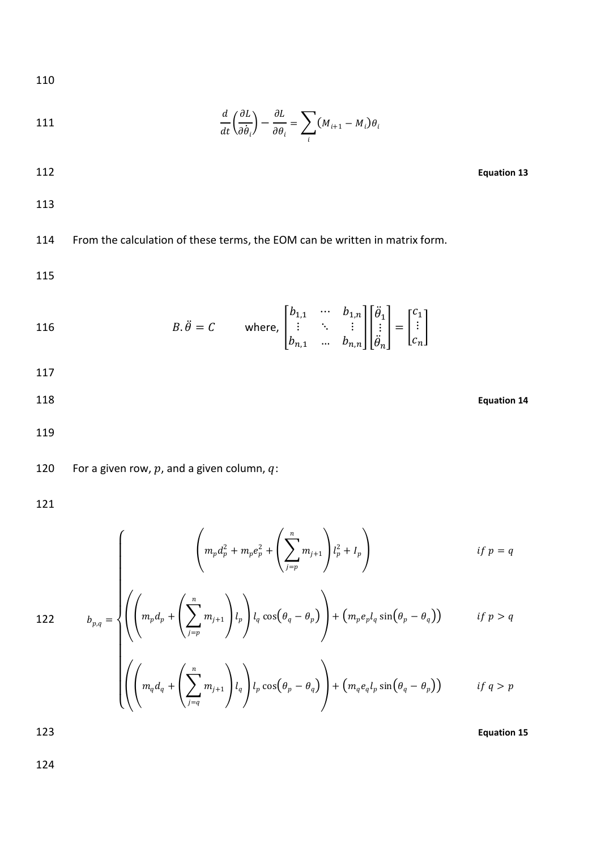$$
110\,
$$

111 
$$
\frac{d}{dt}\left(\frac{\partial L}{\partial \dot{\theta}_i}\right) - \frac{\partial L}{\partial \theta_i} = \sum_i (M_{i+1} - M_i)\theta_i
$$

112 **Equation 13**

113

114 From the calculation of these terms, the EOM can be written in matrix form.

115

116 
$$
B.\ddot{\theta} = C \quad \text{where, } \begin{bmatrix} b_{1,1} & \cdots & b_{1,n} \\ \vdots & \ddots & \vdots \\ b_{n,1} & \cdots & b_{n,n} \end{bmatrix} \begin{bmatrix} \ddot{\theta}_1 \\ \vdots \\ \ddot{\theta}_n \end{bmatrix} = \begin{bmatrix} c_1 \\ \vdots \\ c_n \end{bmatrix}
$$

$$
117\quad
$$

<span id="page-7-0"></span>118 **Equation 14**

119

120 For a given row,  $p$ , and a given column,  $q$ :

 $\overline{1}$  $\overline{1}$  $\overline{1}$  $\overline{1}$ 

121

$$
\left( m_p d_p^2 + m_p e_p^2 + \left( \sum_{j=p}^n m_{j+1} \right) l_p^2 + I_p \right) \qquad \qquad \text{if } p = q
$$

122 
$$
b_{p,q} = \sqrt{\left(\left(m_p d_p + \left(\sum_{j=p}^n m_{j+1}\right)l_p\right)l_q \cos(\theta_q - \theta_p)\right) + \left(m_p e_p l_q \sin(\theta_p - \theta_q)\right)}
$$
if  $p > q$ 

$$
\left( \left( \left( m_q d_q + \left( \sum_{j=q}^n m_{j+1} \right) l_q \right) l_p \cos \left( \theta_p - \theta_q \right) \right) + \left( m_q e_q l_p \sin \left( \theta_q - \theta_p \right) \right) \right) \qquad \text{if } q > p
$$

123 **Equation 15**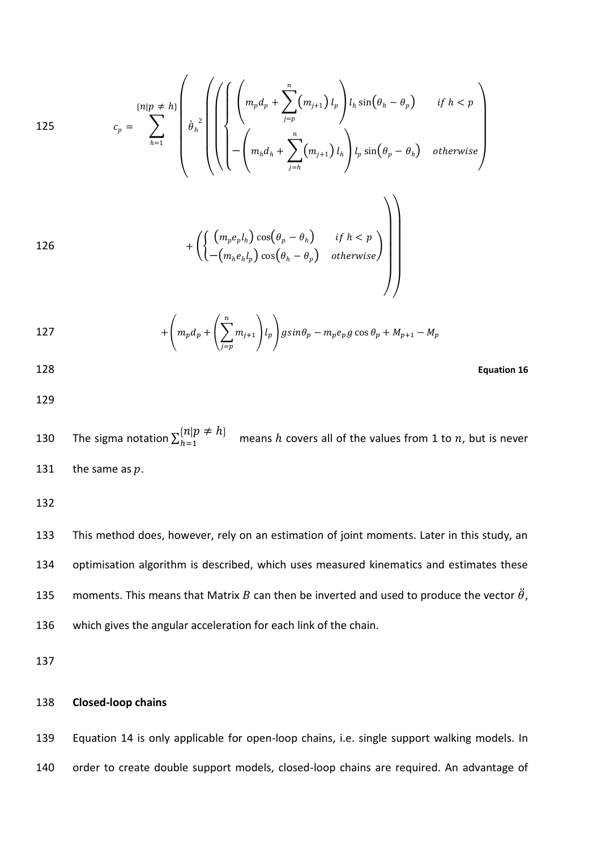125  

$$
c_p = \sum_{h=1}^{\{n|p \neq h\}} \left( \theta_h^2 \left( \left( \left( \left( m_p d_p + \sum_{j=p}^n (m_{j+1}) l_p \right) l_h \sin(\theta_h - \theta_p) \right) \text{ if } h < p \right) \right) \right. \\ \left. + \left( \left\{ \left( m_p d_h + \sum_{j=h}^n (m_{j+1}) l_h \right) l_p \sin(\theta_p - \theta_h) \right) \text{ otherwise} \right\} \right)
$$
126  

$$
+ \left( \left\{ \left( m_p e_p l_h \right) \cos(\theta_p - \theta_h) \text{ if } h < p \right\} \right)
$$
126  

$$
\left. \left( \left( m_p e_p l_h \right) \cos(\theta_p - \theta_h) \text{ otherwise} \right) \right)
$$

127 
$$
+ \left(m_p d_p + \left(\sum_{j=p}^n m_{j+1}\right)l_p\right)g\sin\theta_p - m_p e_p g \cos\theta_p + M_{p+1} - M_p
$$

128 **Equation 16**

129

130 The sigma notation  $\sum_{h=1}^{\{n|p \neq h\}}$  means h covers all of the values from 1 to n, but is never 131 the same as  $p$ .

132

 This method does, however, rely on an estimation of joint moments. Later in this study, an optimisation algorithm is described, which uses measured kinematics and estimates these 135 moments. This means that Matrix B can then be inverted and used to produce the vector  $\ddot{\theta}$ , which gives the angular acceleration for each link of the chain.

137

## 138 **Closed-loop chains**

139 [Equation 14](#page-7-0) is only applicable for open-loop chains, i.e. single support walking models. In 140 order to create double support models, closed-loop chains are required. An advantage of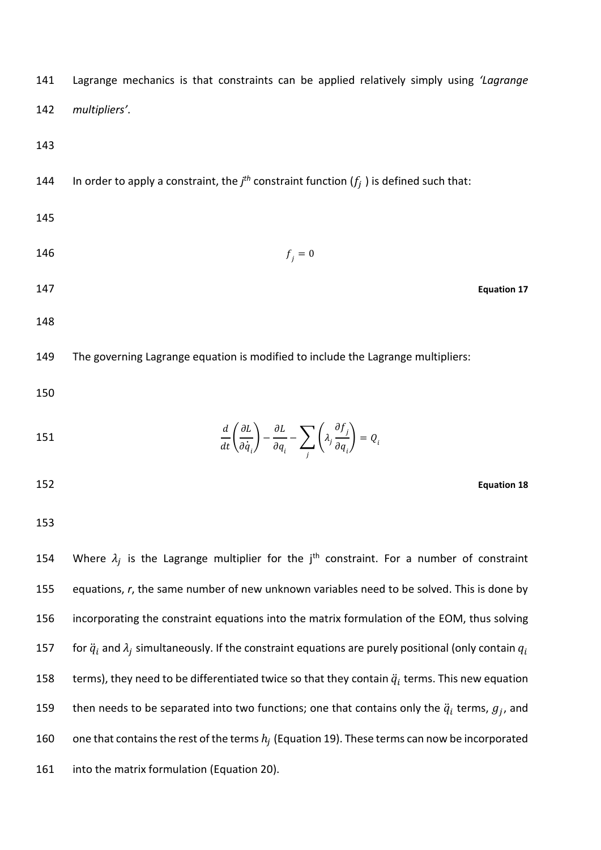| 141 | Lagrange mechanics is that constraints can be applied relatively simply using 'Lagrange                                                                            |                    |
|-----|--------------------------------------------------------------------------------------------------------------------------------------------------------------------|--------------------|
| 142 | multipliers'.                                                                                                                                                      |                    |
| 143 |                                                                                                                                                                    |                    |
| 144 | In order to apply a constraint, the $jth$ constraint function $(f_i)$ is defined such that:                                                                        |                    |
| 145 |                                                                                                                                                                    |                    |
| 146 | $f_i = 0$                                                                                                                                                          |                    |
| 147 |                                                                                                                                                                    | <b>Equation 17</b> |
| 148 |                                                                                                                                                                    |                    |
| 149 | The governing Lagrange equation is modified to include the Lagrange multipliers:                                                                                   |                    |
| 150 |                                                                                                                                                                    |                    |
| 151 | $\frac{d}{dt}\left(\frac{\partial L}{\partial \dot{q}_i}\right)-\frac{\partial L}{\partial q_i}-\sum_i\left(\lambda_j\frac{\partial f_j}{\partial q_i}\right)=Q_i$ |                    |
| 152 |                                                                                                                                                                    | <b>Equation 18</b> |
| 153 |                                                                                                                                                                    |                    |

154 Where  $\lambda_j$  is the Lagrange multiplier for the j<sup>th</sup> constraint. For a number of constraint 155 equations, *r*, the same number of new unknown variables need to be solved. This is done by 156 incorporating the constraint equations into the matrix formulation of the EOM, thus solving 157 for  $\ddot{q}_i$  and  $\lambda_j$  simultaneously. If the constraint equations are purely positional (only contain  $q_i$ 158 terms), they need to be differentiated twice so that they contain  $\ddot{q}_i$  terms. This new equation 159 then needs to be separated into two functions; one that contains only the  $\ddot{q}_i$  terms,  $g_j$ , and 160 one that contains the rest of the terms  $h_i$  [\(Equation 19\)](#page-10-0). These terms can now be incorporated 161 into the matrix formulation [\(Equation 20\)](#page-10-1).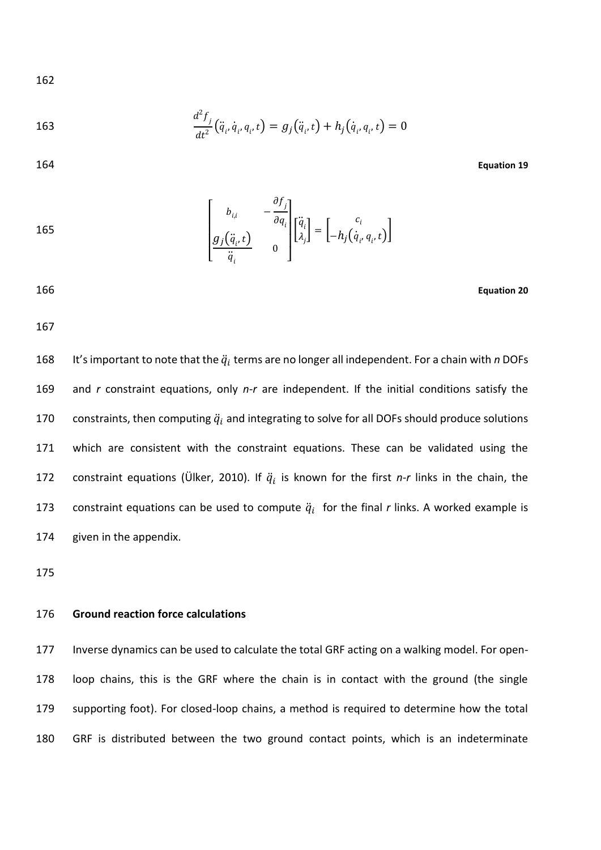163 
$$
\frac{d^2 f_j}{dt^2} (\ddot{q}_i, \dot{q}_i, q_i, t) = g_j (\ddot{q}_i, t) + h_j (\dot{q}_i, q_i, t) = 0
$$

<span id="page-10-0"></span>164 **Equation 19**

165  

$$
\begin{bmatrix} b_{i,i} & -\frac{\partial f_j}{\partial q_i} \\ g_j(\ddot{q}_i, t) & 0 \end{bmatrix} \begin{bmatrix} \ddot{q}_i \\ \lambda_j \end{bmatrix} = \begin{bmatrix} c_i \\ -h_j(\dot{q}_i, q_i, t) \end{bmatrix}
$$

<span id="page-10-1"></span>166 **Equation 20**

167

168 It's important to note that the  $\ddot{q}_i$  terms are no longer all independent. For a chain with *n* DOFs 169 and *r* constraint equations, only *n-r* are independent. If the initial conditions satisfy the 170 constraints, then computing  $\ddot{q}_i$  and integrating to solve for all DOFs should produce solutions 171 which are consistent with the constraint equations. These can be validated using the 172 constraint equations [\(Ülker, 2010\)](#page-16-11). If  $\ddot{q}_i$  is known for the first *n-r* links in the chain, the 173 constraint equations can be used to compute  $\ddot{q}_i$  for the final *r* links. A worked example is 174 given in the appendix.

175

#### 176 **Ground reaction force calculations**

 Inverse dynamics can be used to calculate the total GRF acting on a walking model. For open- loop chains, this is the GRF where the chain is in contact with the ground (the single supporting foot). For closed-loop chains, a method is required to determine how the total GRF is distributed between the two ground contact points, which is an indeterminate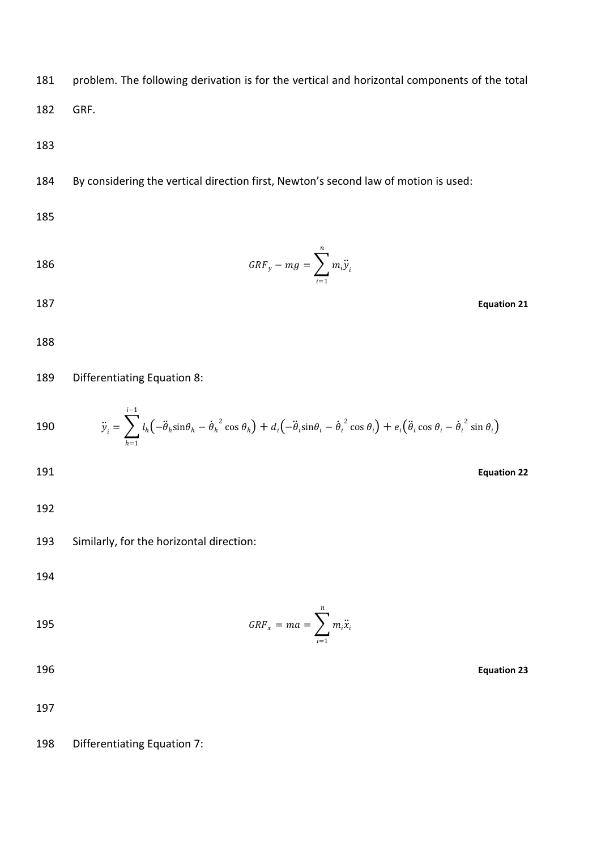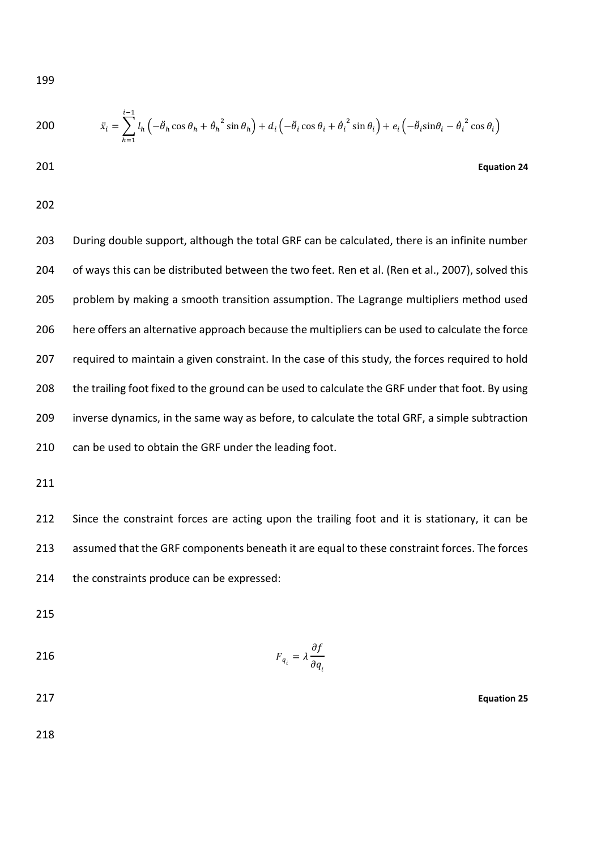200 
$$
\ddot{x}_i = \sum_{h=1}^{i-1} l_h \left( -\ddot{\theta}_h \cos \theta_h + \dot{\theta}_h^2 \sin \theta_h \right) + d_i \left( -\ddot{\theta}_i \cos \theta_i + \dot{\theta}_i^2 \sin \theta_i \right) + e_i \left( -\ddot{\theta}_i \sin \theta_i - \dot{\theta}_i^2 \cos \theta_i \right)
$$

201 **Equation 24**

202

203 During double support, although the total GRF can be calculated, there is an infinite number 204 of ways this can be distributed between the two feet. [Ren et al.](#page-16-4) [\(Ren et al., 2007\)](#page-16-12), solved this 205 problem by making a smooth transition assumption. The Lagrange multipliers method used 206 here offers an alternative approach because the multipliers can be used to calculate the force 207 required to maintain a given constraint. In the case of this study, the forces required to hold 208 the trailing foot fixed to the ground can be used to calculate the GRF under that foot. By using 209 inverse dynamics, in the same way as before, to calculate the total GRF, a simple subtraction 210 can be used to obtain the GRF under the leading foot.

211

212 Since the constraint forces are acting upon the trailing foot and it is stationary, it can be 213 assumed that the GRF components beneath it are equal to these constraint forces. The forces 214 the constraints produce can be expressed:

215

$$
F_{q_i} = \lambda \frac{\partial f}{\partial q_i}
$$

217 **Equation 25**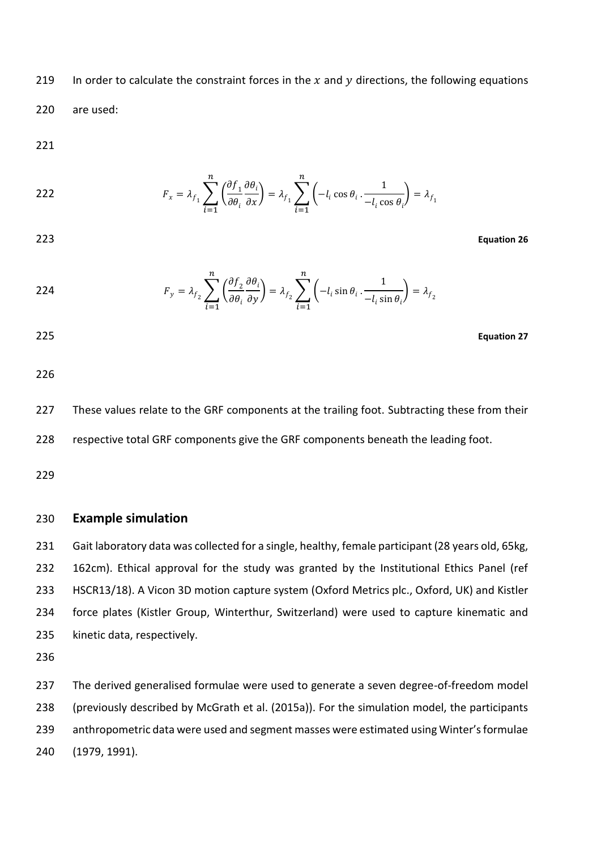219 In order to calculate the constraint forces in the  $x$  and  $y$  directions, the following equations 220 are used:

221

222 
$$
F_x = \lambda_{f_1} \sum_{i=1}^n \left( \frac{\partial f_1}{\partial \theta_i} \frac{\partial \theta_i}{\partial x} \right) = \lambda_{f_1} \sum_{i=1}^n \left( -l_i \cos \theta_i \cdot \frac{1}{-l_i \cos \theta_i} \right) = \lambda_{f_1}
$$

223 **Equation 26**

224 
$$
F_y = \lambda_{f_2} \sum_{i=1}^n \left( \frac{\partial f_2}{\partial \theta_i} \frac{\partial \theta_i}{\partial y} \right) = \lambda_{f_2} \sum_{i=1}^n \left( -l_i \sin \theta_i \cdot \frac{1}{-l_i \sin \theta_i} \right) = \lambda_{f_2}
$$

225 **Equation 27**

226

227 These values relate to the GRF components at the trailing foot. Subtracting these from their 228 respective total GRF components give the GRF components beneath the leading foot.

229

## 230 **Example simulation**

231 Gait laboratory data was collected for a single, healthy, female participant (28 years old, 65kg, 162cm). Ethical approval for the study was granted by the Institutional Ethics Panel (ref HSCR13/18). A Vicon 3D motion capture system (Oxford Metrics plc., Oxford, UK) and Kistler force plates (Kistler Group, Winterthur, Switzerland) were used to capture kinematic and kinetic data, respectively.

236

 The derived generalised formulae were used to generate a seven degree-of-freedom model (previously described by [McGrath et al. \(2015a\)\)](#page-16-6). For the simulation model, the participants anthropometric data were used and segment masses were estimated using Winter's formulae [\(1979,](#page-16-13) [1991\)](#page-17-0).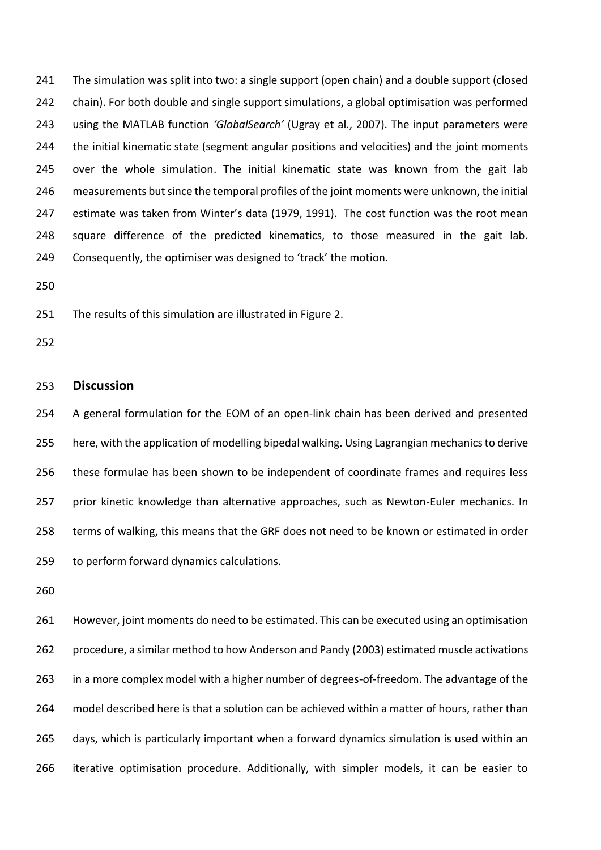The simulation was split into two: a single support (open chain) and a double support (closed chain). For both double and single support simulations, a global optimisation was performed using the MATLAB function *'GlobalSearch'* [\(Ugray et al., 2007\)](#page-16-14). The input parameters were the initial kinematic state (segment angular positions and velocities) and the joint moments over the whole simulation. The initial kinematic state was known from the gait lab measurements but since the temporal profiles of the joint moments were unknown, the initial estimate was taken from Winter's data [\(1979,](#page-16-13) [1991\)](#page-17-0). The cost function was the root mean square difference of the predicted kinematics, to those measured in the gait lab. Consequently, the optimiser was designed to 'track' the motion.

The results of this simulation are illustrated in Figure 2.

### **Discussion**

 A general formulation for the EOM of an open-link chain has been derived and presented here, with the application of modelling bipedal walking. Using Lagrangian mechanics to derive these formulae has been shown to be independent of coordinate frames and requires less 257 prior kinetic knowledge than alternative approaches, such as Newton-Euler mechanics. In terms of walking, this means that the GRF does not need to be known or estimated in order to perform forward dynamics calculations.

 However, joint moments do need to be estimated. This can be executed using an optimisation procedure, a similar method to how Anderson and Pandy [\(2003\)](#page-16-9) estimated muscle activations in a more complex model with a higher number of degrees-of-freedom. The advantage of the model described here is that a solution can be achieved within a matter of hours, rather than days, which is particularly important when a forward dynamics simulation is used within an iterative optimisation procedure. Additionally, with simpler models, it can be easier to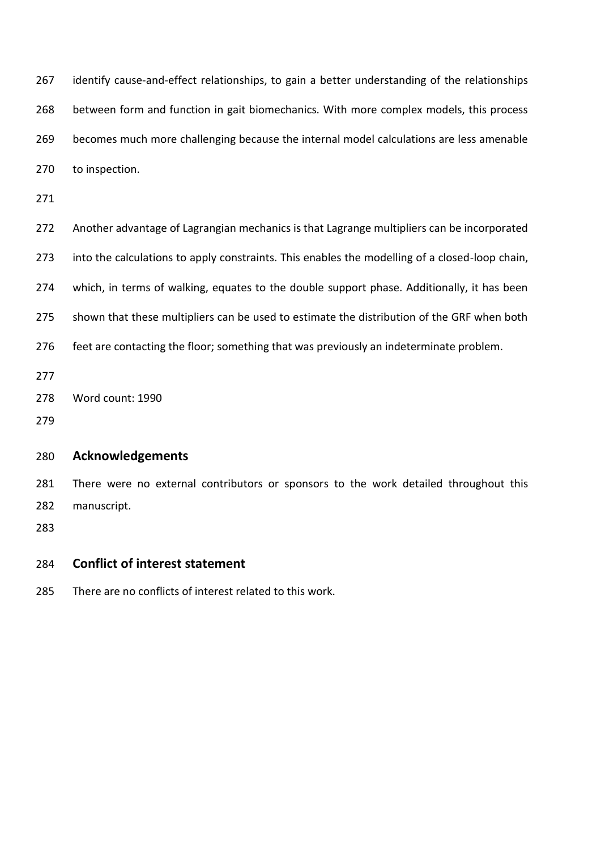267 identify cause-and-effect relationships, to gain a better understanding of the relationships between form and function in gait biomechanics. With more complex models, this process becomes much more challenging because the internal model calculations are less amenable to inspection.

 Another advantage of Lagrangian mechanics is that Lagrange multipliers can be incorporated into the calculations to apply constraints. This enables the modelling of a closed-loop chain, 274 which, in terms of walking, equates to the double support phase. Additionally, it has been 275 shown that these multipliers can be used to estimate the distribution of the GRF when both feet are contacting the floor; something that was previously an indeterminate problem. Word count: 1990 

## **Acknowledgements**

281 There were no external contributors or sponsors to the work detailed throughout this manuscript.

# **Conflict of interest statement**

There are no conflicts of interest related to this work.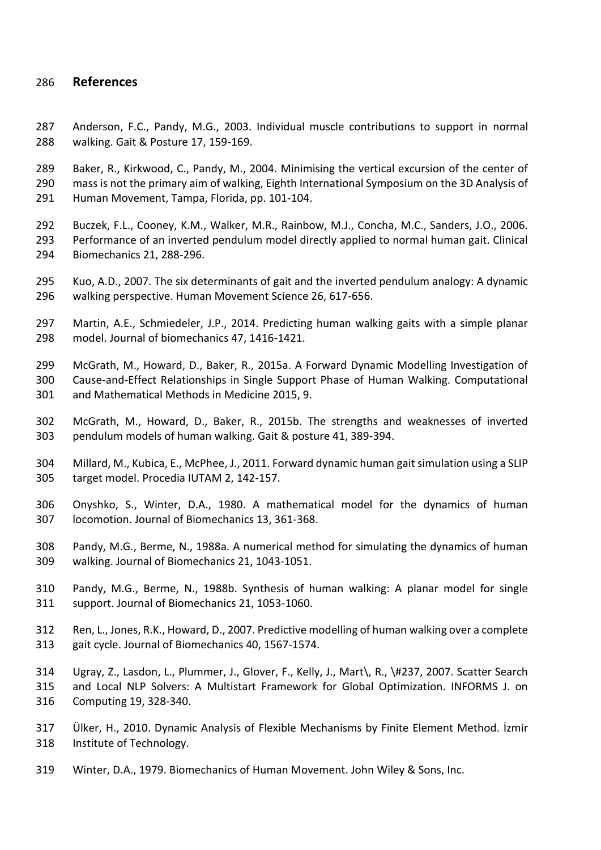# **References**

<span id="page-16-9"></span> Anderson, F.C., Pandy, M.G., 2003. Individual muscle contributions to support in normal walking. Gait & Posture 17, 159-169.

<span id="page-16-0"></span> Baker, R., Kirkwood, C., Pandy, M., 2004. Minimising the vertical excursion of the center of mass is not the primary aim of walking, Eighth International Symposium on the 3D Analysis of Human Movement, Tampa, Florida, pp. 101-104.

<span id="page-16-1"></span> Buczek, F.L., Cooney, K.M., Walker, M.R., Rainbow, M.J., Concha, M.C., Sanders, J.O., 2006. Performance of an inverted pendulum model directly applied to normal human gait. Clinical Biomechanics 21, 288-296.

<span id="page-16-2"></span> Kuo, A.D., 2007. The six determinants of gait and the inverted pendulum analogy: A dynamic walking perspective. Human Movement Science 26, 617-656.

<span id="page-16-5"></span> Martin, A.E., Schmiedeler, J.P., 2014. Predicting human walking gaits with a simple planar model. Journal of biomechanics 47, 1416-1421.

<span id="page-16-6"></span> McGrath, M., Howard, D., Baker, R., 2015a. A Forward Dynamic Modelling Investigation of Cause-and-Effect Relationships in Single Support Phase of Human Walking. Computational and Mathematical Methods in Medicine 2015, 9.

<span id="page-16-3"></span> McGrath, M., Howard, D., Baker, R., 2015b. The strengths and weaknesses of inverted pendulum models of human walking. Gait & posture 41, 389-394.

<span id="page-16-4"></span> Millard, M., Kubica, E., McPhee, J., 2011. Forward dynamic human gait simulation using a SLIP target model. Procedia IUTAM 2, 142-157.

<span id="page-16-10"></span> Onyshko, S., Winter, D.A., 1980. A mathematical model for the dynamics of human locomotion. Journal of Biomechanics 13, 361-368.

<span id="page-16-7"></span> Pandy, M.G., Berme, N., 1988a. A numerical method for simulating the dynamics of human walking. Journal of Biomechanics 21, 1043-1051.

<span id="page-16-8"></span> Pandy, M.G., Berme, N., 1988b. Synthesis of human walking: A planar model for single support. Journal of Biomechanics 21, 1053-1060.

<span id="page-16-12"></span> Ren, L., Jones, R.K., Howard, D., 2007. Predictive modelling of human walking over a complete gait cycle. Journal of Biomechanics 40, 1567-1574.

<span id="page-16-14"></span> Ugray, Z., Lasdon, L., Plummer, J., Glover, F., Kelly, J., Mart\, R., \#237, 2007. Scatter Search and Local NLP Solvers: A Multistart Framework for Global Optimization. INFORMS J. on Computing 19, 328-340.

<span id="page-16-11"></span> Ülker, H., 2010. Dynamic Analysis of Flexible Mechanisms by Finite Element Method. İzmir Institute of Technology.

<span id="page-16-13"></span>Winter, D.A., 1979. Biomechanics of Human Movement. John Wiley & Sons, Inc.